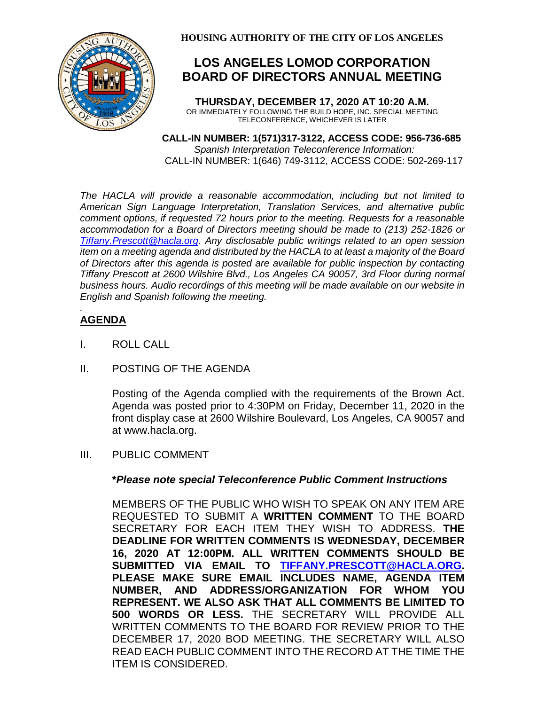

# **LOS ANGELES LOMOD CORPORATION BOARD OF DIRECTORS ANNUAL MEETING**

**THURSDAY, DECEMBER 17, 2020 AT 10:20 A.M.** OR IMMEDIATELY FOLLOWING THE BUILD HOPE, INC. SPECIAL MEETING TELECONFERENCE, WHICHEVER IS LATER

 **CALL-IN NUMBER: 1(571)317-3122, ACCESS CODE: 956-736-685** *Spanish Interpretation Teleconference Information:* CALL-IN NUMBER: 1(646) 749-3112, ACCESS CODE: 502-269-117

*The HACLA will provide a reasonable accommodation, including but not limited to American Sign Language Interpretation, Translation Services, and alternative public comment options, if requested 72 hours prior to the meeting. Requests for a reasonable accommodation for a Board of Directors meeting should be made to (213) 252-1826 or Tiffany.Prescott@hacla.org. Any disclosable public writings related to an open session item on a meeting agenda and distributed by the HACLA to at least a majority of the Board of Directors after this agenda is posted are available for public inspection by contacting Tiffany Prescott at 2600 Wilshire Blvd., Los Angeles CA 90057, 3rd Floor during normal business hours. Audio recordings of this meeting will be made available on our website in English and Spanish following the meeting.*

#### *.* **AGENDA**

- I. ROLL CALL
- II. POSTING OF THE AGENDA

Posting of the Agenda complied with the requirements of the Brown Act. Agenda was posted prior to 4:30PM on Friday, December 11, 2020 in the front display case at 2600 Wilshire Boulevard, Los Angeles, CA 90057 and at www.hacla.org.

### III. PUBLIC COMMENT

### **\****Please note special Teleconference Public Comment Instructions*

MEMBERS OF THE PUBLIC WHO WISH TO SPEAK ON ANY ITEM ARE REQUESTED TO SUBMIT A **WRITTEN COMMENT** TO THE BOARD SECRETARY FOR EACH ITEM THEY WISH TO ADDRESS. **THE DEADLINE FOR WRITTEN COMMENTS IS WEDNESDAY, DECEMBER 16, 2020 AT 12:00PM. ALL WRITTEN COMMENTS SHOULD BE SUBMITTED VIA EMAIL TO [TIFFANY.PRESCOTT@HACLA.ORG.](mailto:TIFFANY.PRESCOTT@HACLA.ORG) PLEASE MAKE SURE EMAIL INCLUDES NAME, AGENDA ITEM NUMBER, AND ADDRESS/ORGANIZATION FOR WHOM YOU REPRESENT. WE ALSO ASK THAT ALL COMMENTS BE LIMITED TO 500 WORDS OR LESS.** THE SECRETARY WILL PROVIDE ALL WRITTEN COMMENTS TO THE BOARD FOR REVIEW PRIOR TO THE DECEMBER 17, 2020 BOD MEETING. THE SECRETARY WILL ALSO READ EACH PUBLIC COMMENT INTO THE RECORD AT THE TIME THE ITEM IS CONSIDERED.